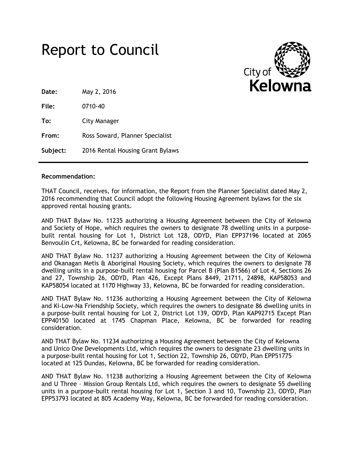



**Date:** May 2, 2016

**File:** 0710-40

**To:** City Manager

**From:** Ross Soward, Planner Specialist

**Subject:** 2016 Rental Housing Grant Bylaws

#### **Recommendation:**

THAT Council, receives, for information, the Report from the Planner Specialist dated May 2, 2016 recommending that Council adopt the following Housing Agreement bylaws for the six approved rental housing grants.

AND THAT Bylaw No. 11235 authorizing a Housing Agreement between the City of Kelowna and Society of Hope, which requires the owners to designate 78 dwelling units in a purposebuilt rental housing for Lot 1, District Lot 128, ODYD, Plan EPP37196 located at 2065 Benvoulin Crt, Kelowna, BC be forwarded for reading consideration.

AND THAT Bylaw No. 11237 authorizing a Housing Agreement between the City of Kelowna and Okanagan Metis & Aboriginal Housing Society, which requires the owners to designate 78 dwelling units in a purpose-built rental housing for Parcel B (Plan B1566) of Lot 4, Sections 26 and 27, Township 26, ODYD, Plan 426, Except Plans 8449, 21711, 24898, KAP58053 and KAP58054 located at 1170 Highway 33, Kelowna, BC be forwarded for reading consideration.

AND THAT Bylaw No. 11236 authorizing a Housing Agreement between the City of Kelowna and Ki-Low-Na Friendship Society, which requires the owners to designate 86 dwelling units in a purpose-built rental housing for Lot 2, District Lot 139, ODYD, Plan KAP92715 Except Plan EPP40150 located at 1745 Chapman Place, Kelowna, BC be forwarded for reading consideration.

AND THAT Bylaw No. 11234 authorizing a Housing Agreement between the City of Kelowna and Unico One Developments Ltd, which requires the owners to designate 23 dwelling units in a purpose-built rental housing for Lot 1, Section 22, Township 26, ODYD, Plan EPP51775 located at 125 Dundas, Kelowna, BC be forwarded for reading consideration.

AND THAT Bylaw No. 11238 authorizing a Housing Agreement between the City of Kelowna and U Three – Mission Group Rentals Ltd, which requires the owners to designate 55 dwelling units in a purpose-built rental housing for Lot 1, Section 3 and 10, Township 23, ODYD, Plan EPP53793 located at 805 Academy Way, Kelowna, BC be forwarded for reading consideration.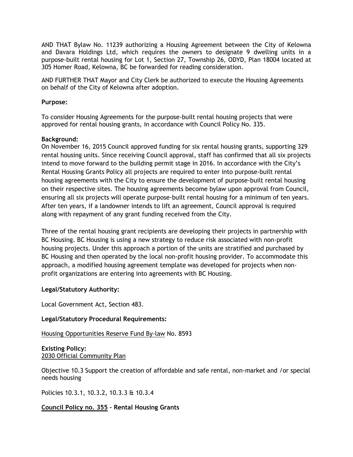AND THAT Bylaw No. 11239 authorizing a Housing Agreement between the City of Kelowna and Davara Holdings Ltd, which requires the owners to designate 9 dwelling units in a purpose-built rental housing for Lot 1, Section 27, Township 26, ODYD, Plan 18004 located at 305 Homer Road, Kelowna, BC be forwarded for reading consideration.

AND FURTHER THAT Mayor and City Clerk be authorized to execute the Housing Agreements on behalf of the City of Kelowna after adoption.

### **Purpose:**

To consider Housing Agreements for the purpose-built rental housing projects that were approved for rental housing grants, in accordance with Council Policy No. 335.

### **Background:**

On November 16, 2015 Council approved funding for six rental housing grants, supporting 329 rental housing units. Since receiving Council approval, staff has confirmed that all six projects intend to move forward to the building permit stage in 2016. In accordance with the City's Rental Housing Grants Policy all projects are required to enter into purpose-built rental housing agreements with the City to ensure the development of purpose-built rental housing on their respective sites. The housing agreements become bylaw upon approval from Council, ensuring all six projects will operate purpose-built rental housing for a minimum of ten years. After ten years, if a landowner intends to lift an agreement, Council approval is required along with repayment of any grant funding received from the City.

Three of the rental housing grant recipients are developing their projects in partnership with BC Housing. BC Housing is using a new strategy to reduce risk associated with non-profit housing projects. Under this approach a portion of the units are stratified and purchased by BC Housing and then operated by the local non-profit housing provider. To accommodate this approach, a modified housing agreement template was developed for projects when nonprofit organizations are entering into agreements with BC Housing.

# **Legal/Statutory Authority:**

Local Government Act, Section 483.

#### **Legal/Statutory Procedural Requirements:**

# Housing Opportunities Reserve Fund By-law No. 8593

**Existing Policy:** 2030 Official Community Plan

Objective 10.3 Support the creation of affordable and safe rental, non-market and /or special needs housing

Policies 10.3.1, 10.3.2, 10.3.3 & 10.3.4

**Council Policy no. 355 – Rental Housing Grants**